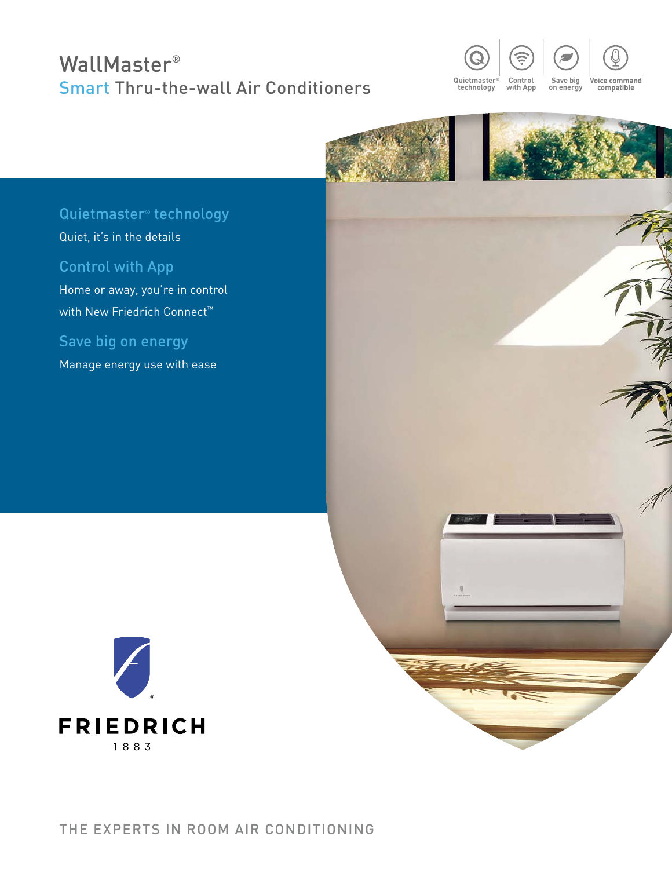## WallMaster® Smart Thru-the-wall Air Conditioners





县



## Quietmaster® technology

Quiet, it's in the details

#### Control with App

Home or away, you're in control with New Friedrich Connect<sup>™</sup>

Save big on energy

Manage energy use with ease

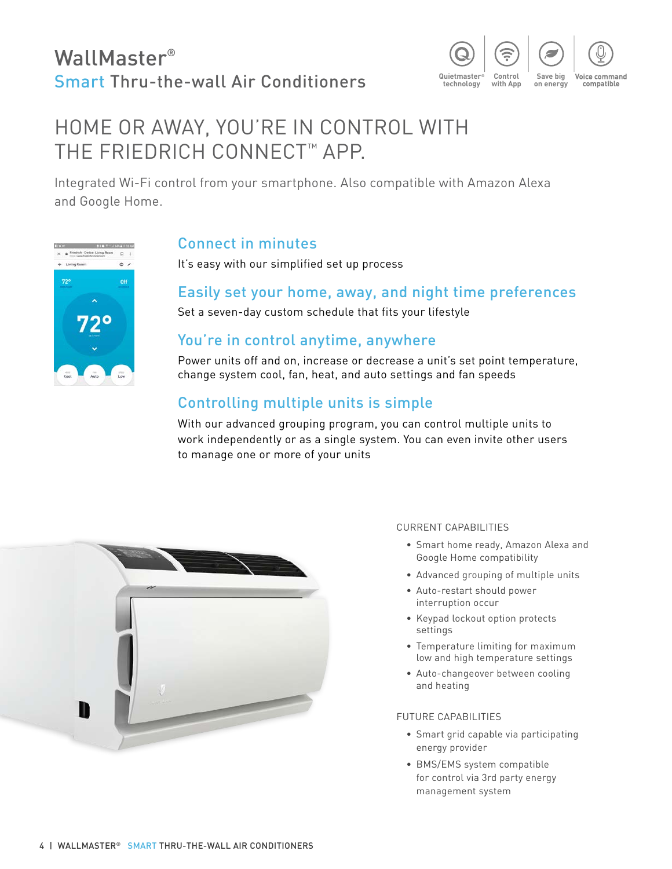## WallMaster® Smart Thru-the-wall Air Conditioners



## HOME OR AWAY, YOU'RE IN CONTROL WITH THE FRIEDRICH CONNECT™ APP.

Integrated Wi-Fi control from your smartphone. Also compatible with Amazon Alexa and Google Home.



#### Connect in minutes

It's easy with our simplified set up process

#### Easily set your home, away, and night time preferences

Set a seven-day custom schedule that fits your lifestyle

#### You're in control anytime, anywhere

Power units off and on, increase or decrease a unit's set point temperature, change system cool, fan, heat, and auto settings and fan speeds

### Controlling multiple units is simple

With our advanced grouping program, you can control multiple units to work independently or as a single system. You can even invite other users to manage one or more of your units



#### CURRENT CAPABILITIES

- Smart home ready, Amazon Alexa and Google Home compatibility
- Advanced grouping of multiple units
- Auto-restart should power interruption occur
- Keypad lockout option protects settings
- Temperature limiting for maximum low and high temperature settings
- Auto-changeover between cooling and heating

#### FUTURE CAPABILITIES

- Smart grid capable via participating energy provider
- BMS/EMS system compatible for control via 3rd party energy management system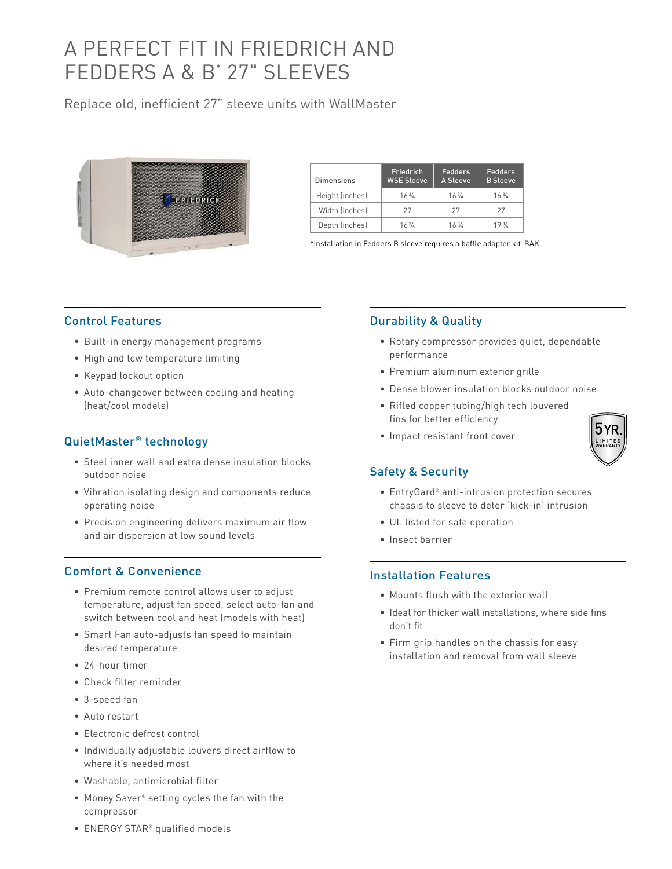## A PERFECT FIT IN FRIEDRICH AND FEDDERS A & B\* 27" SLEEVES

Replace old, inefficient 27" sleeve units with WallMaster



| Dimensions      | <b>Friedrich</b><br><b>WSE Sleeve</b> | Fedders<br>A Sleeve | Fedders<br><b>B</b> Sleeve |
|-----------------|---------------------------------------|---------------------|----------------------------|
| Height (inches) | 163/6                                 | 163/6               | 163/4                      |
| Width (inches)  | 27                                    | 27                  | 27                         |
| Depth (inches)  | 163/4                                 | 163/6               | 193/6                      |

\*Installation in Fedders B sleeve requires a baffle adapter kit-BAK.

#### Control Features

- Built-in energy management programs
- High and low temperature limiting
- Keypad lockout option
- Auto-changeover between cooling and heating (heat/cool models)

#### QuietMaster® technology

- Steel inner wall and extra dense insulation blocks outdoor noise
- Vibration isolating design and components reduce operating noise
- Precision engineering delivers maximum air flow and air dispersion at low sound levels

#### Comfort & Convenience

- Premium remote control allows user to adjust temperature, adjust fan speed, select auto-fan and switch between cool and heat (models with heat)
- Smart Fan auto-adjusts fan speed to maintain desired temperature
- 24-hour timer
- Check filter reminder
- 3-speed fan
- Auto restart
- Electronic defrost control
- Individually adjustable louvers direct airflow to where it's needed most
- Washable, antimicrobial filter
- Money Saver® setting cycles the fan with the compressor

# Durability & Quality

- Rotary compressor provides quiet, dependable performance
- Premium aluminum exterior grille
- Dense blower insulation blocks outdoor noise
- Rifled copper tubing/high tech louvered fins for better efficiency
- Impact resistant front cover

#### Safety & Security

- EntryGard® anti-intrusion protection secures chassis to sleeve to deter 'kick-in' intrusion
- UL listed for safe operation
- Insect barrier

#### Installation Features

- Mounts flush with the exterior wall
- Ideal for thicker wall installations, where side fins don't fit
- Firm grip handles on the chassis for easy installation and removal from wall sleeve

• ENERGY STAR® qualified models

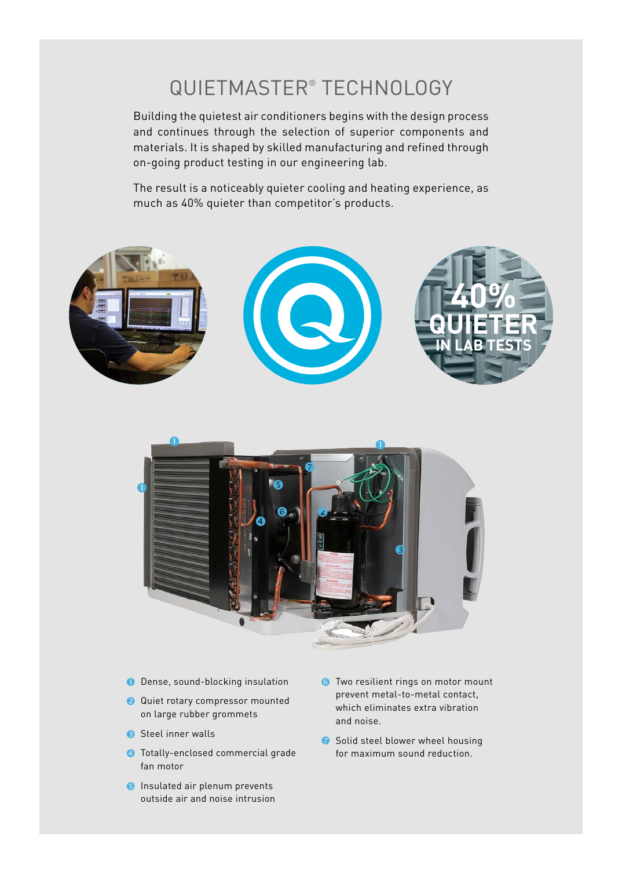## QUIETMASTER® TECHNOLOGY

Building the quietest air conditioners begins with the design process and continues through the selection of superior components and materials. It is shaped by skilled manufacturing and refined through on-going product testing in our engineering lab.

The result is a noticeably quieter cooling and heating experience, as much as 40% quieter than competitor's products.



- O Dense, sound-blocking insulation
- **Q** Quiet rotary compressor mounted on large rubber grommets
- Steel inner walls
- **4** Totally-enclosed commercial grade fan motor
- **B** Insulated air plenum prevents outside air and noise intrusion
- **Two resilient rings on motor mount** prevent metal-to-metal contact, which eliminates extra vibration and noise.
- Solid steel blower wheel housing for maximum sound reduction.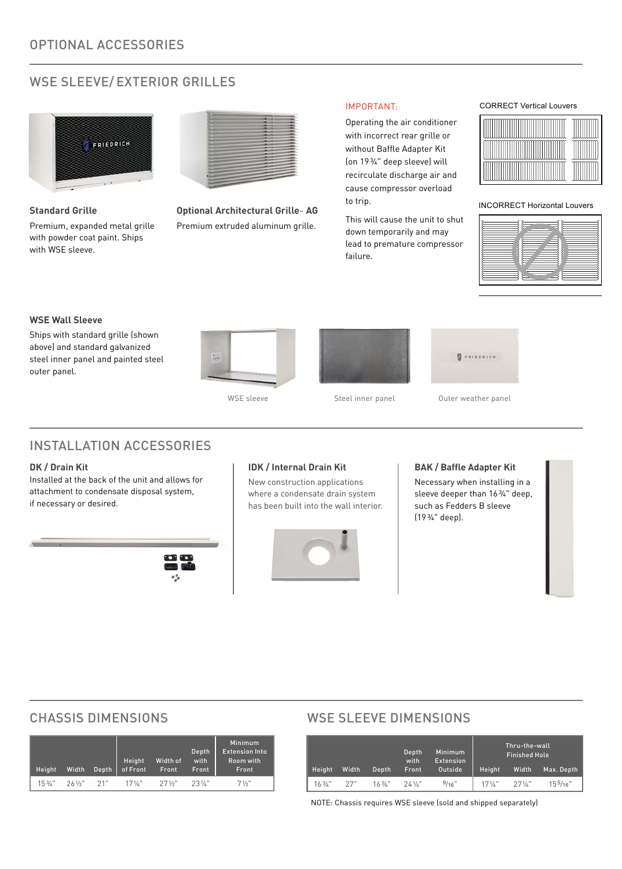#### WSE SLEEVE/ EXTERIOR GRILLES



**Standard Grille**

Premium, expanded metal grille with powder coat paint. Ships with WSE sleeve.



**Optional Architectural Grille**- **AG** Premium extruded aluminum grille.

#### IMPORTANT:

Operating the air conditioner with incorrect rear grille or without Baffle Adapter Kit (on 19¾" deep sleeve) will recirculate discharge air and cause compressor overload to trip.

This will cause the unit to shut down temporarily and may lead to premature compressor failure.

#### CORRECT Vertical Louvers



INCORRECT Horizontal Louvers



#### **WSE Wall Sleeve**

Ships with standard grille (shown above) and standard galvanized steel inner panel and painted steel outer panel.









```
WSE sleeve Steel inner panel Outer weather panel
```
#### INSTALLATION ACCESSORIES

#### **DK / Drain Kit**

Installed at the back of the unit and allows for attachment to condensate disposal system, if necessary or desired.



#### **IDK / Internal Drain Kit**

New construction applications where a condensate drain system has been built into the wall interior.



#### **BAK / Baffle Adapter Kit**

Necessary when installing in a sleeve deeper than 16¾" deep, such as Fedders B sleeve (19¾" deep).

| Height            | Width  | Depth | <b>Height</b><br>of Front | Width of<br>Front | Depth<br>with<br>Front | <b>Minimum</b><br><b>Extension Into</b><br>Room with<br>Front |
|-------------------|--------|-------|---------------------------|-------------------|------------------------|---------------------------------------------------------------|
| $15\frac{3}{4}$ " | 261/2" | 21"   | $171/$ ."                 | $27\frac{1}{2}$   | $23\frac{1}{k}$        | 71/2"                                                         |

#### CHASSIS DIMENSIONS WSE SLEEVE DIMENSIONS

|                   |       |           | Depth<br>with      | <b>Minimum</b><br>Extension |                 | Thru-the-wall<br><b>Finished Hole</b> |                      |
|-------------------|-------|-----------|--------------------|-----------------------------|-----------------|---------------------------------------|----------------------|
| <b>Height</b>     | Width | Depth     | Front              | Outside                     | Height          | Width                                 | Max. Depth           |
| $16\frac{3}{4}$ " | 27"   | $163/k$ " | $24$ $\frac{1}{6}$ | 9/16"                       | $17\frac{1}{4}$ | $27\frac{1}{4}$                       | 15 <sup>5</sup> /16" |

NOTE: Chassis requires WSE sleeve (sold and shipped separately)